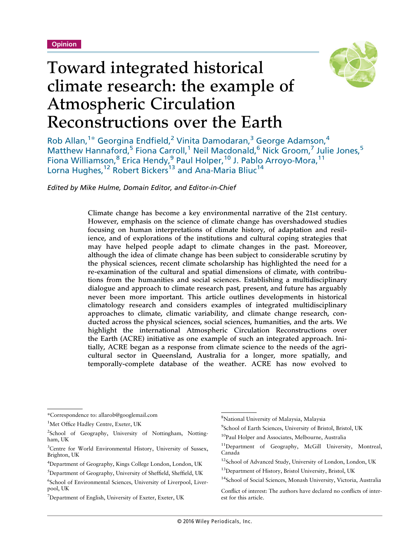

# Toward integrated historical climate research: the example of Atmospheric Circulation Reconstructions over the Earth

Rob Allan,<sup>1\*</sup> Georgina Endfield,<sup>2</sup> Vinita Damodaran,<sup>3</sup> George Adamson,<sup>4</sup> Matthew Hannaford,<sup>5</sup> Fiona Carroll,<sup>1</sup> Neil Macdonald,<sup>6</sup> Nick Groom,<sup>7</sup> Julie Jones,<sup>5</sup> Fiona Williamson,<sup>8</sup> Erica Hendy,<sup>9</sup> Paul Holper,<sup>10</sup> J. Pablo Arroyo-Mora,<sup>11</sup> Lorna Hughes,<sup>12</sup> Robert Bickers<sup>13</sup> and Ana-Maria Bliuc<sup>14</sup>

*Edited by Mike Hulme, Domain Editor, and Editor-in-Chief*

Climate change has become a key environmental narrative of the 21st century. However, emphasis on the science of climate change has overshadowed studies focusing on human interpretations of climate history, of adaptation and resilience, and of explorations of the institutions and cultural coping strategies that may have helped people adapt to climate changes in the past. Moreover, although the idea of climate change has been subject to considerable scrutiny by the physical sciences, recent climate scholarship has highlighted the need for a re-examination of the cultural and spatial dimensions of climate, with contributions from the humanities and social sciences. Establishing a multidisciplinary dialogue and approach to climate research past, present, and future has arguably never been more important. This article outlines developments in historical climatology research and considers examples of integrated multidisciplinary approaches to climate, climatic variability, and climate change research, conducted across the physical sciences, social sciences, humanities, and the arts. We highlight the international Atmospheric Circulation Reconstructions over the Earth (ACRE) initiative as one example of such an integrated approach. Initially, ACRE began as a response from climate science to the needs of the agricultural sector in Queensland, Australia for a longer, more spatially, and temporally-complete database of the weather. ACRE has now evolved to

<sup>\*</sup>Correspondence to: allarob@googlemail.com

<sup>&</sup>lt;sup>1</sup>Met Office Hadley Centre, Exeter, UK

<sup>&</sup>lt;sup>2</sup>School of Geography, University of Nottingham, Nottingham, UK

<sup>&</sup>lt;sup>3</sup>Centre for World Environmental History, University of Sussex, Brighton, UK

<sup>4</sup> Department of Geography, Kings College London, London, UK

<sup>5</sup> Department of Geography, University of Sheffield, Sheffield, UK

<sup>6</sup> School of Environmental Sciences, University of Liverpool, Liverpool, UK

<sup>&</sup>lt;sup>7</sup>Department of English, University of Exeter, Exeter, UK

<sup>8</sup> National University of Malaysia, Malaysia

<sup>9</sup> School of Earth Sciences, University of Bristol, Bristol, UK

<sup>&</sup>lt;sup>10</sup>Paul Holper and Associates, Melbourne, Australia

<sup>11</sup>Department of Geography, McGill University, Montreal, Canada

<sup>&</sup>lt;sup>12</sup>School of Advanced Study, University of London, London, UK

<sup>&</sup>lt;sup>13</sup>Department of History, Bristol University, Bristol, UK

<sup>&</sup>lt;sup>14</sup>School of Social Sciences, Monash University, Victoria, Australia

Conflict of interest: The authors have declared no conflicts of interest for this article.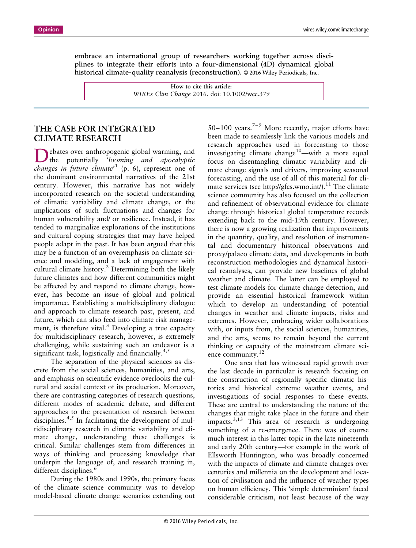embrace an international group of researchers working together across disciplines to integrate their efforts into a four-dimensional (4D) dynamical global historical climate-quality reanalysis (reconstruction). © 2016 Wiley Periodicals, Inc.

> **How to cite this article:** *WIREs Clim Change* 2016. doi: 10.1002/wcc.379

## **THE CASE FOR INTEGRATED CLIMATE RESEARCH**

Debates over anthropogenic global warming, and the potentially '*looming and apocalyptic changes in future climate*' <sup>1</sup> (p. 6), represent one of the dominant environmental narratives of the 21st century. However, this narrative has not widely incorporated research on the societal understanding of climatic variability and climate change, or the implications of such fluctuations and changes for human vulnerability and/ or resilience. Instead, it has tended to marginalize explorations of the institutions and cultural coping strategies that may have helped people adapt in the past. It has been argued that this may be a function of an overemphasis on climate science and modeling, and a lack of engagement with cultural climate history.<sup>2</sup> Determining both the likely future climates and how different communities might be affected by and respond to climate change, however, has become an issue of global and political importance. Establishing a multidisciplinary dialogue and approach to climate research past, present, and future, which can also feed into climate risk management, is therefore vital.<sup>3</sup> Developing a true capacity for multidisciplinary research, however, is extremely challenging, while sustaining such an endeavor is a significant task, logistically and financially. $4,5$ 

The separation of the physical sciences as discrete from the social sciences, humanities, and arts, and emphasis on scientific evidence overlooks the cultural and social context of its production. Moreover, there are contrasting categories of research questions, different modes of academic debate, and different approaches to the presentation of research between disciplines. $4,5$  In facilitating the development of multidisciplinary research in climatic variability and climate change, understanding these challenges is critical. Similar challenges stem from differences in ways of thinking and processing knowledge that underpin the language of, and research training in, different disciplines.<sup>6</sup>

During the 1980s and 1990s, the primary focus of the climate science community was to develop model-based climate change scenarios extending out

50–100 years.<sup>7-9</sup> More recently, major efforts have been made to seamlessly link the various models and research approaches used in forecasting to those investigating climate change<sup>10</sup>—with a more equal focus on disentangling climatic variability and climate change signals and drivers, improving seasonal forecasting, and the use of all of this material for climate services (see [http://gfcs.wmo.int/\)](http://gfcs.wmo.int/).<sup>11</sup> The climate science community has also focused on the collection and refinement of observational evidence for climate change through historical global temperature records extending back to the mid-19th century. However, there is now a growing realization that improvements in the quantity, quality, and resolution of instrumental and documentary historical observations and proxy/palaeo climate data, and developments in both reconstruction methodologies and dynamical historical reanalyses, can provide new baselines of global weather and climate. The latter can be employed to test climate models for climate change detection, and provide an essential historical framework within which to develop an understanding of potential changes in weather and climate impacts, risks and extremes. However, embracing wider collaborations with, or inputs from, the social sciences, humanities, and the arts, seems to remain beyond the current thinking or capacity of the mainstream climate science community.<sup>12</sup>

One area that has witnessed rapid growth over the last decade in particular is research focusing on the construction of regionally specific climatic histories and historical extreme weather events, and investigations of social responses to these events. These are central to understanding the nature of the changes that might take place in the future and their impacts.<sup>3,13</sup> This area of research is undergoing something of a re-emergence. There was of course much interest in this latter topic in the late nineteenth and early 20th century—for example in the work of Ellsworth Huntington, who was broadly concerned with the impacts of climate and climate changes over centuries and millennia on the development and location of civilisation and the influence of weather types on human efficiency. This 'simple determinism' faced considerable criticism, not least because of the way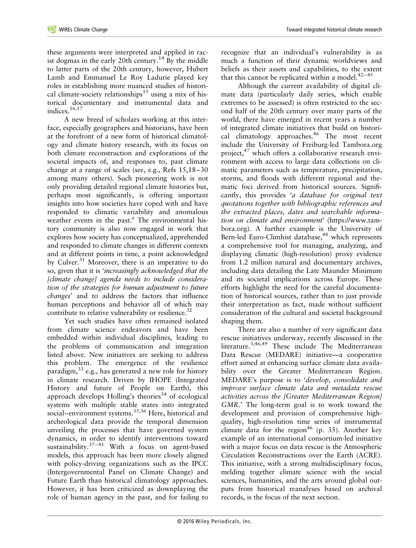these arguments were interpreted and applied in racist dogmas in the early 20th century.<sup>14</sup> By the middle to latter parts of the 20th century, however, Hubert Lamb and Emmanuel Le Roy Ladurie played key roles in establishing more nuanced studies of historical climate-society relationships<sup>15</sup> using a mix of historical documentary and instrumental data and indices.<sup>16,17</sup>

A new breed of scholars working at this interface, especially geographers and historians, have been at the forefront of a new form of historical climatology and climate history research, with its focus on both climate reconstruction and explorations of the societal impacts of, and responses to, past climate change at a range of scales (see, e.g., Refs 15,18–30 among many others). Such pioneering work is not only providing detailed regional climate histories but, perhaps most significantly, is offering important insights into how societies have coped with and have responded to climatic variability and anomalous weather events in the past.*<sup>a</sup>* The environmental history community is also now engaged in work that explores how society has conceptualized, apprehended and responded to climate changes in different contexts and at different points in time, a point acknowledged by Culver.<sup>31</sup> Moreover, there is an imperative to do so, given that it is '*increasingly acknowledged that the [climate change] agenda needs to include consideration of the strategies for human adjustment to future changes*' and to address the factors that influence human perceptions and behavior all of which may contribute to relative vulnerability or resilience.<sup>32</sup>

Yet such studies have often remained isolated from climate science endeavors and have been embedded within individual disciplines, leading to the problems of communication and integration listed above. New initiatives are seeking to address this problem. The emergence of the resilience paradigm,  $33$  e.g., has generated a new role for history in climate research. Driven by IHOPE (Integrated History and future of People on Earth), this approach develops Holling's theories<sup>34</sup> of ecological systems with multiple stable states into integrated social–environment systems.<sup>35,36</sup> Here, historical and archeological data provide the temporal dimension unveiling the processes that have governed system dynamics, in order to identify interventions toward sustainability. $37-41$  With a focus on agent-based models, this approach has been more closely aligned with policy-driving organizations such as the IPCC (Intergovernmental Panel on Climate Change) and Future Earth than historical climatology approaches. However, it has been criticized as downplaying the role of human agency in the past, and for failing to

recognize that an individual's vulnerability is as much a function of their dynamic worldviews and beliefs as their assets and capabilities, to the extent that this cannot be replicated within a model. $42-45$ 

Although the current availability of digital climate data (particularly daily series, which enable extremes to be assessed) is often restricted to the second half of the 20th century over many parts of the world, there have emerged in recent years a number of integrated climate initiatives that build on historical climatology approaches.<sup>46</sup> The most recent include the University of Freiburg-led Tambora.org project, $47$  which offers a collaborative research environment with access to large data collections on climatic parameters such as temperature, precipitation, storms, and floods with different regional and thematic foci derived from historical sources. Significantly, this provides '*a database for original text quotations together with bibliographic references and the extracted places, dates and searchable information on climate and environment*' [\(https://www.tam](https://www.tambora.org)[bora.org\)](https://www.tambora.org). A further example is the University of Bern-led Euro-Climhist database,<sup>48</sup> which represents a comprehensive tool for managing, analyzing, and displaying climatic (high-resolution) proxy evidence from 1.2 million natural and documentary archives, including data detailing the Late Maunder Minimum and its societal implications across Europe. These efforts highlight the need for the careful documentation of historical sources, rather than to just provide their interpretation as fact, made without sufficient consideration of the cultural and societal background shaping them.

There are also a number of very significant data rescue initiatives underway, recently discussed in the literature.3,46,49 These include The Mediterranean Data Rescue (MEDARE) initiative—a cooperative effort aimed at enhancing surface climate data availability over the Greater Mediterranean Region. MEDARE's purpose is to '*develop, consolidate and improve surface climate data and metadata rescue activities across the [Greater Mediterranean Region] GMR*.' The long-term goal is to work toward the development and provision of comprehensive highquality, high-resolution time series of instrumental climate data for the region<sup>46</sup> (p. 35). Another key example of an international consortium-led initiative with a major focus on data rescue is the Atmospheric Circulation Reconstructions over the Earth (ACRE). This initiative, with a strong multidisciplinary focus, melding together climate science with the social sciences, humanities, and the arts around global outputs from historical reanalyses based on archival records, is the focus of the next section.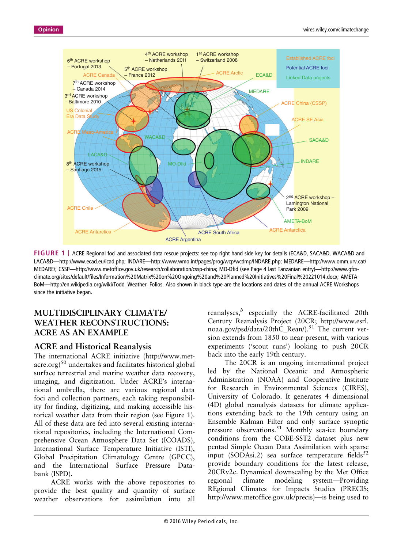

**FIGURE 1** | ACRE Regional foci and associated data rescue projects: see top right hand side key for details (ECA&D, SACA&D, WACA&D and LACA&D—[http://www.ecad.eu/icad.php;](http://www.ecad.eu/icad.php) INDARE—[http://www.wmo.int/pages/prog/wcp/wcdmp/INDARE.php;](http://www.wmo.int/pages/prog/wcp/wcdmp/INDARE.php) MEDARE—[http://www.omm.urv.cat/](http://www.omm.urv.cat/MEDARE/) [MEDARE/;](http://www.omm.urv.cat/MEDARE/) CSSP—http://www.metoffi[ce.gov.uk/research/collaboration/cssp-china](http://www.metoffice.gov.uk/research/collaboration/cssp-china); MO-Dfid (see Page 4 last Tanzanian entry)—[http://www.gfcs](http://www.gfcs-climate.org/sites/default/files/Information%20Matrix%20on%20Ongoing%20and%20Planned%20Initiatives%20Final%20221014.docx)climate.org/sites/default/fi[les/Information%20Matrix%20on%20Ongoing%20and%20Planned%20Initiatives%20Final%20221014.docx;](http://www.gfcs-climate.org/sites/default/files/Information%20Matrix%20on%20Ongoing%20and%20Planned%20Initiatives%20Final%20221014.docx) AMETA-BoM—[http://en.wikipedia.org/wiki/Todd\\_Weather\\_Folios.](http://en.wikipedia.org/wiki/Todd_Weather_Folios) Also shown in black type are the locations and dates of the annual ACRE Workshops since the initiative began.

## **MULTIDISCIPLINARY CLIMATE/ WEATHER RECONSTRUCTIONS: ACRE AS AN EXAMPLE**

## **ACRE and Historical Reanalysis**

The international ACRE initiative ([http://www.met-](http://www.met-acre.org) $\arccos(50)$  undertakes and facilitates historical global surface terrestrial and marine weather data recovery, imaging, and digitization. Under ACRE's international umbrella, there are various regional data foci and collection partners, each taking responsibility for finding, digitizing, and making accessible historical weather data from their region (see Figure 1). All of these data are fed into several existing international repositories, including the International Comprehensive Ocean Atmosphere Data Set (ICOADS), International Surface Temperature Initiative (ISTI), Global Precipitation Climatology Centre (GPCC), and the International Surface Pressure Databank (ISPD).

ACRE works with the above repositories to provide the best quality and quantity of surface weather observations for assimilation into all reanalyses,*<sup>b</sup>* especially the ACRE-facilitated 20th Century Reanalysis Project (20CR; [http://www.esrl.](http://www.esrl.noaa.gov/psd/data/20thC_Rean/) [noaa.gov/psd/data/20thC\\_Rean/\)](http://www.esrl.noaa.gov/psd/data/20thC_Rean/).<sup>51</sup> The current version extends from 1850 to near-present, with various experiments ('scout runs') looking to push 20CR back into the early 19th century.

The 20CR is an ongoing international project led by the National Oceanic and Atmospheric Administration (NOAA) and Cooperative Institute for Research in Environmental Sciences (CIRES), University of Colorado. It generates 4 dimensional (4D) global reanalysis datasets for climate applications extending back to the 19th century using an Ensemble Kalman Filter and only surface synoptic pressure observations.<sup>51</sup> Monthly sea-ice boundary conditions from the COBE-SST2 dataset plus new pentad Simple Ocean Data Assimilation with sparse input (SODAsi.2) sea surface temperature fields<sup>52</sup> provide boundary conditions for the latest release, 20CRv2c. Dynamical downscaling by the Met Office regional climate modeling system—Providing REgional Climates for Impacts Studies (PRECIS; [http://www.metof](http://www.metoffice.gov.uk/precis)fice.gov.uk/precis)—is being used to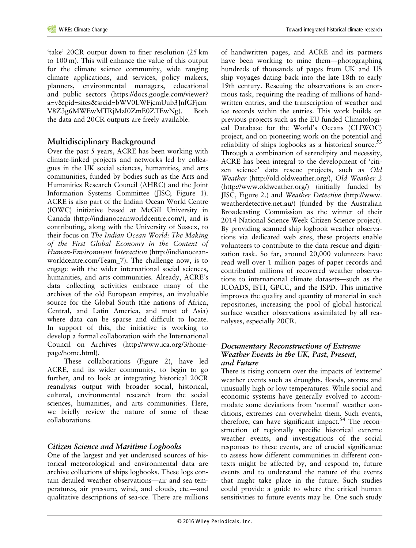'take' 20CR output down to finer resolution (25 km to 100 m). This will enhance the value of this output for the climate science community, wide ranging climate applications, and services, policy makers, planners, environmental managers, educational and public sectors ([https://docs.google.com/viewer?](https://docs.google.com/viewer?a=v&pid=sites&srcid=bWV0LWFjcmUub3JnfGFjcmV8Z3g6MWEwMTRjMzI0ZmE0ZTEwNg) [a=v&pid=sites&srcid=bWV0LWFjcmUub3JnfGFjcm](https://docs.google.com/viewer?a=v&pid=sites&srcid=bWV0LWFjcmUub3JnfGFjcmV8Z3g6MWEwMTRjMzI0ZmE0ZTEwNg) [V8Z3g6MWEwMTRjMzI0ZmE0ZTEwNg\)](https://docs.google.com/viewer?a=v&pid=sites&srcid=bWV0LWFjcmUub3JnfGFjcmV8Z3g6MWEwMTRjMzI0ZmE0ZTEwNg). Both the data and 20CR outputs are freely available.

## **Multidisciplinary Background**

Over the past 5 years, ACRE has been working with climate-linked projects and networks led by colleagues in the UK social sciences, humanities, and arts communities, funded by bodies such as the Arts and Humanities Research Council (AHRC) and the Joint Information Systems Committee (JISC; Figure 1). ACRE is also part of the Indian Ocean World Centre (IOWC) initiative based at McGill University in Canada [\(http://indianoceanworldcentre.com/](http://indianoceanworldcentre.com/)), and is contributing, along with the University of Sussex, to their focus on *The Indian Ocean World: The Making of the First Global Economy in the Context of Human-Environment Interaction* ([http://indianocean](http://indianoceanworldcentre.com/Team_7)[worldcentre.com/Team\\_7\)](http://indianoceanworldcentre.com/Team_7). The challenge now, is to engage with the wider international social sciences, humanities, and arts communities. Already, ACRE's data collecting activities embrace many of the archives of the old European empires, an invaluable source for the Global South (the nations of Africa, Central, and Latin America, and most of Asia) where data can be sparse and difficult to locate. In support of this, the initiative is working to develop a formal collaboration with the International Council on Archives ([http://www.ica.org/3/home](http://www.ica.org/3/homepage/home.html)[page/home.html](http://www.ica.org/3/homepage/home.html)).

These collaborations (Figure 2), have led ACRE, and its wider community, to begin to go further, and to look at integrating historical 20CR reanalysis output with broader social, historical, cultural, environmental research from the social sciences, humanities, and arts communities. Here, we briefly review the nature of some of these collaborations.

## *Citizen Science and Maritime Logbooks*

One of the largest and yet underused sources of historical meteorological and environmental data are archive collections of ships logbooks. These logs contain detailed weather observations—air and sea temperatures, air pressure, wind, and clouds, etc.—and qualitative descriptions of sea-ice. There are millions of handwritten pages, and ACRE and its partners have been working to mine them—photographing hundreds of thousands of pages from UK and US ship voyages dating back into the late 18th to early 19th century. Rescuing the observations is an enormous task, requiring the reading of millions of handwritten entries, and the transcription of weather and ice records within the entries. This work builds on previous projects such as the EU funded Climatological Database for the World's Oceans (CLIWOC) project, and on pioneering work on the potential and reliability of ships logbooks as a historical source. $53$ Through a combination of serendipity and necessity, ACRE has been integral to the development of 'citizen science' data rescue projects, such as *Old Weather* [\(http://old.oldweather.org/\)](http://old.oldweather.org/), *Old Weather 2* (<http://www.oldweather.org/>) (initially funded by JISC, Figure 2.) and *Weather Detective* ([http://www.](http://www.weatherdetective.net.au/) [weatherdetective.net.au/\)](http://www.weatherdetective.net.au/) (funded by the Australian Broadcasting Commission as the winner of their 2014 National Science Week Citizen Science project). By providing scanned ship logbook weather observations via dedicated web sites, these projects enable volunteers to contribute to the data rescue and digitization task. So far, around 20,000 volunteers have read well over 1 million pages of paper records and contributed millions of recovered weather observations to international climate datasets—such as the

ICOADS, ISTI, GPCC, and the ISPD. This initiative improves the quality and quantity of material in such repositories, increasing the pool of global historical surface weather observations assimilated by all reanalyses, especially 20CR.

#### *Documentary Reconstructions of Extreme Weather Events in the UK, Past, Present, and Future*

There is rising concern over the impacts of 'extreme' weather events such as droughts, floods, storms and unusually high or low temperatures. While social and economic systems have generally evolved to accommodate some deviations from 'normal' weather conditions, extremes can overwhelm them. Such events, therefore, can have significant impact. $54$  The reconstruction of regionally specific historical extreme weather events, and investigations of the social responses to these events, are of crucial significance to assess how different communities in different contexts might be affected by, and respond to, future events and to understand the nature of the events that might take place in the future. Such studies could provide a guide to where the critical human sensitivities to future events may lie. One such study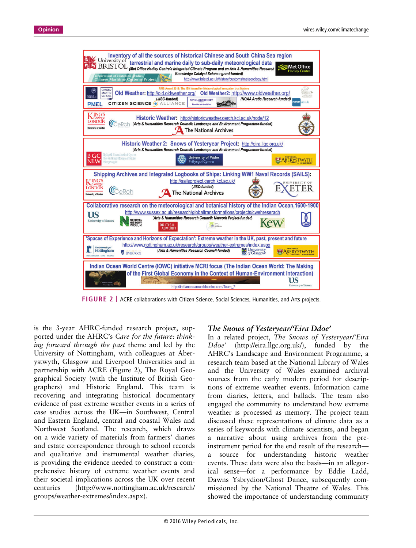

**FIGURE 2** ACRE collaborations with Citizen Science, Social Sciences, Humanities, and Arts projects.

is the 3-year AHRC-funded research project, supported under the AHRC's *Care for the future: thinking forward through the past* theme and led by the University of Nottingham, with colleagues at Aberystwyth, Glasgow and Liverpool Universities and in partnership with ACRE (Figure 2), The Royal Geographical Society (with the Institute of British Geographers) and Historic England. This team is recovering and integrating historical documentary evidence of past extreme weather events in a series of case studies across the UK—in Southwest, Central and Eastern England, central and coastal Wales and Northwest Scotland. The research, which draws on a wide variety of materials from farmers' diaries and estate correspondence through to school records and qualitative and instrumental weather diaries, is providing the evidence needed to construct a comprehensive history of extreme weather events and their societal implications across the UK over recent centuries ([http://www.nottingham.ac.uk/research/](http://www.nottingham.ac.uk/research/groups/weather-extremes/index.aspx) [groups/weather-extremes/index.aspx\)](http://www.nottingham.ac.uk/research/groups/weather-extremes/index.aspx).

#### *The Snows of Yesteryear/'Eira Ddoe'*

In a related project, *The Snows of Yesteryear/'Eira Ddoe*' [\(http://eira.llgc.org.uk/](http://eira.llgc.org.uk/)), funded by the AHRC's Landscape and Environment Programme, a research team based at the National Library of Wales and the University of Wales examined archival sources from the early modern period for descriptions of extreme weather events. Information came from diaries, letters, and ballads. The team also engaged the community to understand how extreme weather is processed as memory. The project team discussed these representations of climate data as a series of keywords with climate scientists, and began a narrative about using archives from the preinstrument period for the end result of the research a source for understanding historic weather events. These data were also the basis—in an allegorical sense—for a performance by Eddie Ladd, Dawns Ysbrydion/Ghost Dance, subsequently commissioned by the National Theatre of Wales. This showed the importance of understanding community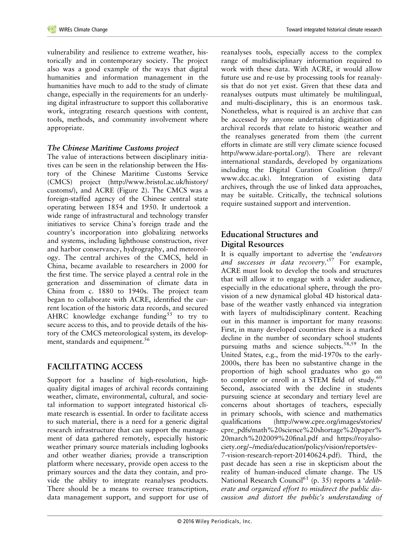vulnerability and resilience to extreme weather, historically and in contemporary society. The project also was a good example of the ways that digital humanities and information management in the humanities have much to add to the study of climate change, especially in the requirements for an underlying digital infrastructure to support this collaborative work, integrating research questions with content, tools, methods, and community involvement where appropriate.

#### *The Chinese Maritime Customs project*

The value of interactions between disciplinary initiatives can be seen in the relationship between the History of the Chinese Maritime Customs Service (CMCS) project [\(http://www.bristol.ac.uk/history/](http://www.bristol.ac.uk/history/customs/) [customs/\)](http://www.bristol.ac.uk/history/customs/), and ACRE (Figure 2). The CMCS was a foreign-staffed agency of the Chinese central state operating between 1854 and 1950. It undertook a wide range of infrastructural and technology transfer initiatives to service China's foreign trade and the country's incorporation into globalizing networks and systems, including lighthouse construction, river and harbor conservancy, hydrography, and meteorology. The central archives of the CMCS, held in China, became available to researchers in 2000 for the first time. The service played a central role in the generation and dissemination of climate data in China from c. 1880 to 1940s. The project team began to collaborate with ACRE, identified the current location of the historic data records, and secured AHRC knowledge exchange funding<sup>55</sup> to try to secure access to this, and to provide details of the history of the CMCS meteorological system, its development, standards and equipment.<sup>56</sup>

## **FACILITATING ACCESS**

Support for a baseline of high-resolution, highquality digital images of archival records containing weather, climate, environmental, cultural, and societal information to support integrated historical climate research is essential. In order to facilitate access to such material, there is a need for a generic digital research infrastructure that can support the management of data gathered remotely, especially historic weather primary source materials including logbooks and other weather diaries; provide a transcription platform where necessary, provide open access to the primary sources and the data they contain, and provide the ability to integrate reanalyses products. There should be a means to oversee transcription, data management support, and support for use of reanalyses tools, especially access to the complex range of multidisciplinary information required to work with these data. With ACRE, it would allow future use and re-use by processing tools for reanalysis that do not yet exist. Given that these data and reanalyses outputs must ultimately be multilingual, and multi-disciplinary, this is an enormous task. Nonetheless, what is required is an archive that can be accessed by anyone undertaking digitization of archival records that relate to historic weather and the reanalyses generated from them (the current efforts in climate are still very climate science focused [http://www.idare-portal.org/\)](http://www.idare-portal.org/). There are relevant international standards, developed by organizations including the Digital Curation Coalition ([http://](http://www.dcc.ac.uk) [www.dcc.ac.uk\)](http://www.dcc.ac.uk). Integration of existing data archives, through the use of linked data approaches, may be suitable. Critically, the technical solutions require sustained support and intervention.

## **Educational Structures and Digital Resources**

It is equally important to advertise the '*endeavors and successes in data recovery*.' <sup>57</sup> For example, ACRE must look to develop the tools and structures that will allow it to engage with a wider audience, especially in the educational sphere, through the provision of a new dynamical global 4D historical database of the weather vastly enhanced via integration with layers of multidisciplinary content. Reaching out in this manner is important for many reasons: First, in many developed countries there is a marked decline in the number of secondary school students pursuing maths and science subjects.<sup>58,59</sup> In the United States, e.g., from the mid-1970s to the early-2000s, there has been no substantive change in the proportion of high school graduates who go on to complete or enroll in a STEM field of study.<sup>60</sup> Second, associated with the decline in students pursuing science at secondary and tertiary level are concerns about shortages of teachers, especially in primary schools, with science and mathematics qualifications [\(http://www.cpre.org/images/stories/](http://www.cpre.org/images/stories/cpre_pdfs/math%20science%20shortage%20paper%20march%202009%20final.pdf) [cpre\\_pdfs/math%20science%20shortage%20paper%](http://www.cpre.org/images/stories/cpre_pdfs/math%20science%20shortage%20paper%20march%202009%20final.pdf) [20march%202009%20](http://www.cpre.org/images/stories/cpre_pdfs/math%20science%20shortage%20paper%20march%202009%20final.pdf)final.pdf and [https://royalso](https://royalsociety.org/~/media/education/policy/vision/reports/ev-7-vision-research-report-20140624.pdf)[ciety.org/~/media/education/policy/vision/reports/ev-](https://royalsociety.org/~/media/education/policy/vision/reports/ev-7-vision-research-report-20140624.pdf)[7-vision-research-report-20140624.pdf](https://royalsociety.org/~/media/education/policy/vision/reports/ev-7-vision-research-report-20140624.pdf)). Third, the past decade has seen a rise in skepticism about the reality of human-induced climate change. The US National Research Council<sup>61</sup> (p. 35) reports a '*deliberate and organized effort to misdirect the public discussion and distort the public's understanding of*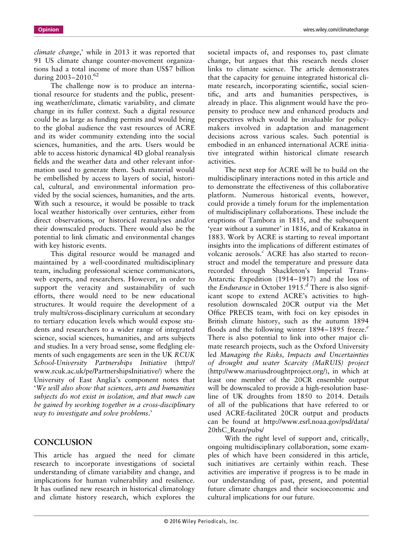*climate change*,' while in 2013 it was reported that 91 US climate change counter-movement organizations had a total income of more than US\$7 billion during 2003-2010.<sup>62</sup>

The challenge now is to produce an international resource for students and the public, presenting weather/climate, climatic variability, and climate change in its fuller context. Such a digital resource could be as large as funding permits and would bring to the global audience the vast resources of ACRE and its wider community extending into the social sciences, humanities, and the arts. Users would be able to access historic dynamical 4D global reanalysis fields and the weather data and other relevant information used to generate them. Such material would be embellished by access to layers of social, historical, cultural, and environmental information provided by the social sciences, humanities, and the arts. With such a resource, it would be possible to track local weather historically over centuries, either from direct observations, or historical reanalyses and/or their downscaled products. There would also be the potential to link climatic and environmental changes with key historic events.

This digital resource would be managed and maintained by a well-coordinated multidisciplinary team, including professional science communicators, web experts, and researchers. However, in order to support the veracity and sustainability of such efforts, there would need to be new educational structures. It would require the development of a truly multi/cross-disciplinary curriculum at secondary to tertiary education levels which would expose students and researchers to a wider range of integrated science, social sciences, humanities, and arts subjects and studies. In a very broad sense, some fledgling elements of such engagements are seen in the UK *RCUK School-University Partnerships Initiative* ([http://](http://www.rcuk.ac.uk/pe/PartnershipsInitiative/) [www.rcuk.ac.uk/pe/PartnershipsInitiative/](http://www.rcuk.ac.uk/pe/PartnershipsInitiative/)) where the University of East Anglia's component notes that '*We will also show that sciences, arts and humanities subjects do not exist in isolation, and that much can be gained by working together in a cross-disciplinary way to investigate and solve problems*.'

#### **CONCLUSION**

This article has argued the need for climate research to incorporate investigations of societal understanding of climate variability and change, and implications for human vulnerability and resilience. It has outlined new research in historical climatology and climate history research, which explores the

societal impacts of, and responses to, past climate change, but argues that this research needs closer links to climate science. The article demonstrates that the capacity for genuine integrated historical climate research, incorporating scientific, social scientific, and arts and humanities perspectives, is already in place. This alignment would have the propensity to produce new and enhanced products and perspectives which would be invaluable for policymakers involved in adaptation and management decisions across various scales. Such potential is embodied in an enhanced international ACRE initiative integrated within historical climate research activities.

The next step for ACRE will be to build on the multidisciplinary interactions noted in this article and to demonstrate the effectiveness of this collaborative platform. Numerous historical events, however, could provide a timely forum for the implementation of multidisciplinary collaborations. These include the eruptions of Tambora in 1815, and the subsequent 'year without a summer' in 1816, and of Krakatoa in 1883. Work by ACRE is starting to reveal important insights into the implications of different estimates of volcanic aerosols.*<sup>c</sup>* ACRE has also started to reconstruct and model the temperature and pressure data recorded through Shackleton's Imperial Trans-Antarctic Expedition (1914–1917) and the loss of the *Endurance* in October 1915.*<sup>d</sup>* There is also significant scope to extend ACRE's activities to highresolution downscaled 20CR output via the Met Office PRECIS team, with foci on key episodes in British climate history, such as the autumn 1894 floods and the following winter 1894–1895 freeze.*<sup>e</sup>* There is also potential to link into other major climate research projects, such as the Oxford University led *Managing the Risks, Impacts and Uncertainties of drought and water Scarcity (MaRUIS) project* (<http://www.mariusdroughtproject.org/>), in which at least one member of the 20CR ensemble output will be downscaled to provide a high-resolution baseline of UK droughts from 1850 to 2014. Details of all of the publications that have referred to or used ACRE-facilitated 20CR output and products can be found at [http://www.esrl.noaa.gov/psd/data/](http://www.esrl.noaa.gov/psd/data/20thC_Rean/pubs/) [20thC\\_Rean/pubs/](http://www.esrl.noaa.gov/psd/data/20thC_Rean/pubs/)

With the right level of support and, critically, ongoing multidisciplinary collaboration, some examples of which have been considered in this article, such initiatives are certainly within reach. These activities are imperative if progress is to be made in our understanding of past, present, and potential future climate changes and their socioeconomic and cultural implications for our future.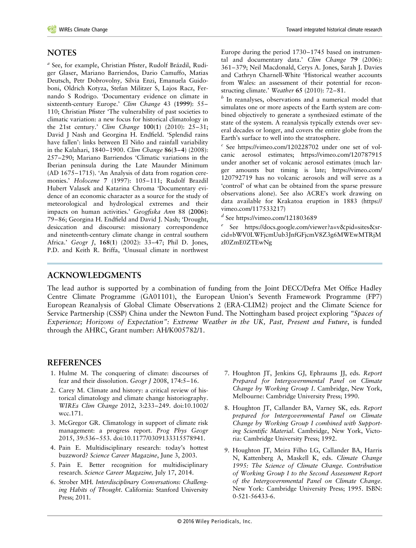### **NOTES**

*<sup>a</sup>* See, for example, Christian Pfister, Rudolf Brázdil, Rudiger Glaser, Mariano Barriendos, Dario Camuffo, Matias Deutsch, Petr Dobrovolny*,* Silvia Enzi, Emanuela Guidoboni, Oldrich Kotyza, Stefan Militzer S, Lajos Racz, Fernando S Rodrigo. 'Documentary evidence on climate in sixteenth-century Europe.' *Clim Change* 43 **(1999)**: 55*–* 110; Christian Pfister 'The vulnerability of past societies to climatic variation: a new focus for historical climatology in the 21st century.' *Clim Change* **100**(**1**) (2010): 25–31; David J Nash and Georgina H. Endfield. 'Splendid rains have fallen': links between El Niño and rainfall variability in the Kalahari, 1840–1900. *Clim Change* **86**(**3–4**) (2008): 257–290; Mariano Barriendos 'Climatic variations in the Iberian peninsula during the Late Maunder Minimum (AD 1675–1715). 'An Analysis of data from rogation ceremonies.' *Holocene* **7** (1997): 105–111; Rudolf Brazdil Hubert Valasek and Katarina Chroma 'Documentary evidence of an economic character as a source for the study of meteorological and hydrological extremes and their impacts on human activities.' *Geogfiska Ann* 88 **(2006)**: 79*–*86; Georgina H. Endfield and David J. Nash; 'Drought, desiccation and discourse: missionary correspondence and nineteenth-century climate change in central southern Africa.' *Geogr J*, **168**(**1**) (2002): 33–47; Phil D. Jones, P.D. and Keith R. Briffa, 'Unusual climate in northwest

Europe during the period 1730–1745 based on instrumental and documentary data.' *Clim Change* **79** (2006): 361–379; Neil Macdonald, Cerys A. Jones, Sarah J. Davies and Cathryn Charnell-White 'Historical weather accounts from Wales: an assessment of their potential for reconstructing climate.' *Weather* **65** (2010): 72–81.

*<sup>b</sup>* In reanalyses, observations and a numerical model that simulates one or more aspects of the Earth system are combined objectively to generate a synthesized estimate of the state of the system. A reanalysis typically extends over several decades or longer, and covers the entire globe from the Earth's surface to well into the stratosphere.

*<sup>c</sup>* See<https://vimeo.com/120228702> under one set of volcanic aerosol estimates;<https://vimeo.com/120787915> under another set of volcanic aerosol estimates (much larger amounts but timing is late; [https://vimeo.com/](https://vimeo.com/120792719) [120792719](https://vimeo.com/120792719) has no volcanic aerosols and will serve as a 'control' of what can be obtained from the sparse pressure observations alone). See also ACRE's work drawing on data available for Krakatoa eruption in 1883 ([https://](https://vimeo.com/117533217) [vimeo.com/117533217\)](https://vimeo.com/117533217)

*<sup>d</sup>* See<https://vimeo.com/121803689>

See [https://docs.google.com/viewer?a=v&pid=sites&sr](https://docs.google.com/viewer?a=v&pid=sites&srcid=bWV0LWFjcmUub3JnfGFjcmV8Z3g6MWEwMTRjMzI0ZmE0ZTEwNg)[cid=bWV0LWFjcmUub3JnfGFjcmV8Z3g6MWEwMTRjM](https://docs.google.com/viewer?a=v&pid=sites&srcid=bWV0LWFjcmUub3JnfGFjcmV8Z3g6MWEwMTRjMzI0ZmE0ZTEwNg) [zI0ZmE0ZTEwNg](https://docs.google.com/viewer?a=v&pid=sites&srcid=bWV0LWFjcmUub3JnfGFjcmV8Z3g6MWEwMTRjMzI0ZmE0ZTEwNg)

#### **ACKNOWLEDGMENTS**

The lead author is supported by a combination of funding from the Joint DECC/Defra Met Office Hadley Centre Climate Programme (GA01101), the European Union's Seventh Framework Programme (FP7) European Reanalysis of Global Climate Observations 2 (ERA-CLIM2) project and the Climate Science for Service Partnership (CSSP) China under the Newton Fund. The Nottingham based project exploring *"Spaces of Experience; Horizons of Expectation": Extreme Weather in the UK, Past, Present and Future*, is funded through the AHRC, Grant number: AH/K005782/1.

#### **REFERENCES**

- 1. Hulme M. The conquering of climate: discourses of fear and their dissolution. *Geogr J* 2008, 174:5–16.
- 2. Carey M. Climate and history: a critical review of historical climatology and climate change historiography. *WIREs Clim Change* 2012, 3:233–249. doi:10.1002/ wcc.171.
- 3. McGregor GR. Climatology in support of climate risk management: a progress report. *Prog Phys Geogr* 2015, 39:536–553. doi:10.1177/0309133315578941.
- 4. Pain E. Multidisciplinary research: today's hottest buzzword? *Science Career Magazine*, June 3, 2003.
- 5. Pain E. Better recognition for multidisciplinary research. *Science Career Magazine,* July 17, 2014.
- 6. Strober MH. *Interdisciplinary Conversations: Challenging Habits of Thought*. California: Stanford University Press; 2011.
- 7. Houghton JT, Jenkins GJ, Ephraums JJ, eds. *Report Prepared for Intergovernmental Panel on Climate Change by Working Group I*. Cambridge, New York, Melbourne: Cambridge University Press; 1990.
- 8. Houghton JT, Callander BA, Varney SK, eds. *Report prepared for Intergovernmental Panel on Climate Change by Working Group I combined with Supporting Scientific Material*. Cambridge, New York, Victoria: Cambridge University Press; 1992.
- 9. Houghton JT, Meira Filho LG, Callander BA, Harris N, Kattenberg A, Maskell K, eds. *Climate Change 1995: The Science of Climate Change. Contribution of Working Group I to the Second Assessment Report of the Intergovernmental Panel on Climate Change*. New York: Cambridge University Press; 1995. ISBN: 0-521-56433-6.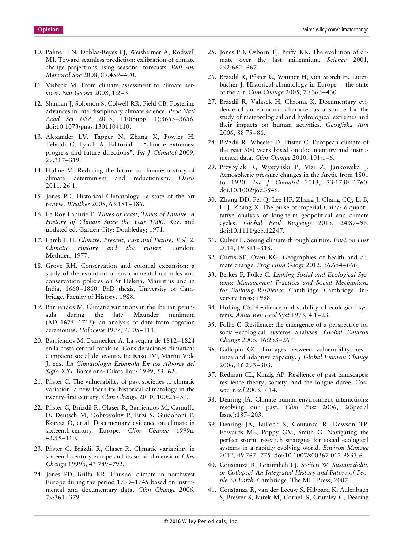- 10. Palmer TN, Doblas-Reyes FJ, Weisheimer A, Rodwell MJ. Toward seamless prediction: calibration of climate change projections using seasonal forecasts. *Bull Am Meteorol Soc* 2008, 89:459–470.
- 11. Visbeck M. From climate assessment to climate services. *Nat Geosci* 2008, 1:2–3.
- 12. Shaman J, Solomon S, Colwell RR, Field CB. Fostering advances in interdisciplinary climate science. *Proc Natl Acad Sci USA* 2013, 110(Suppl 1):3653–3656. doi:10.1073/pnas.1301104110.
- 13. Alexander LV, Tapper N, Zhang X, Fowler H, Tebaldi C, Lynch A. Editorial – "climate extremes: progress and future directions". *Int J Climatol* 2009, 29:317–319.
- 14. Hulme M. Reducing the future to climate: a story of climate determinism and reductionism. *Osiris* 2011, 26:1.
- 15. Jones PD. Historical Climatology—a state of the art review. *Weather* 2008, 63:181–186.
- 16. Le Roy Ladurie E. *Times of Feast, Times of Famine: A History of Climate Since the Year 1000*. Rev. and updated ed. Garden City: Doubleday; 1971.
- 17. Lamb HH. *Climate: Present, Past and Future. Vol. 2: Climatic History and the Future*. London: Methuen; 1977.
- 18. Grove RH. Conservation and colonial expansion: a study of the evolution of environmental attitudes and conservation policies on St Helena, Mauritius and in India, 1660–1860. PhD thesis, University of Cambridge, Faculty of History, 1988.
- 19. Barriendos M. Climatic variations in the Iberian peninsula during the late Maunder minimum (AD 1675–1715): an analysis of data from rogation ceremonies. *Holocene* 1997, 7:105–111.
- 20. Barriendos M, Dannecker A. La sequıa de 1812–1824 en la costa central catalana. Consideraciones climaticas e impacto social del evento. In: Raso JM, Martın Vide J, eds. *La Climatologıa Espanola En los Albores del Siglo XXI*. Barcelona: Oikos-Tau; 1999, 53–62.
- 21. Pfister C. The vulnerability of past societies to climatic variation: a new focus for historical climatology in the twenty-first century. *Clim Change* 2010, 100:25–31.
- 22. Pfister C, Brázdil R, Glaser R, Barriendos M, Camuffo D, Deutsch M, Dobrovolny P, Enzi S, Guidoboni E, Kotyza O, et al. Documentary evidence on climate in sixteenth-century Europe. *Clim Change* 1999a, 43:55–110.
- 23. Pfister C, Brázdil R, Glaser R. Climatic variability in sixteenth century europe and its social dimension. *Clim Change* 1999b, 43:789–792.
- 24. Jones PD, Briffa KR. Unusual climate in northwest Europe during the period 1730–1745 based on instrumental and documentary data. *Clim Change* 2006, 79:361–379.
- 25. Jones PD, Osborn TJ, Briffa KR. The evolution of climate over the last millennium. *Science* 2001, 292:662–667.
- 26. Brázdil R, Pfister C, Wanner H, von Storch H, Luterbacher J. Historical climatology in Europe – the state of the art. *Clim Change* 2005, 70:363–430.
- 27. Brázdil R, Valasek H, Chroma K. Documentary evidence of an economic character as a source for the study of meteorological and hydrological extremes and their impacts on human activities. *Geogfiska Ann* 2006, 88:79–86.
- 28. Brázdil R, Wheeler D, Pfister C. European climate of the past 500 years based on documentary and instrumental data. *Clim Change* 2010, 101:1–6.
- 29. Przybylak R, Wyszynski P, Vízi Z, Jankowska J. Atmospheric pressure changes in the Arctic from 1801 to 1920. *Int J Climatol* 2013, 33:1730–1760. doi:10.1002/joc.3546.
- 30. Zhang DD, Pei Q, Lee HF, Zhang J, Chang CQ, Li B, Li J, Zhang X. The pulse of imperial China: a quantitative analysis of long-term geopolitical and climate cycles. *Global Ecol Biogeogr* 2015, 24:87–96. doi:10.1111/geb.12247.
- 31. Culver L. Seeing climate through culture. *Environ Hist* 2014, 19:311–318.
- 32. Curtis SE, Oven KG. Geographies of health and climate change. *Prog Hum Geogr* 2012, 36:654–666.
- 33. Berkes F, Folke C. *Linking Social and Ecological Systems: Management Practices and Social Mechanisms for Building Resilience*. Cambridge: Cambridge University Press; 1998.
- 34. Holling CS. Resilience and stability of ecological systems. *Annu Rev Ecol Syst* 1973, 4:1–23.
- 35. Folke C. Resilience: the emergence of a perspective for social–ecological systems analyses. *Global Environ Change* 2006, 16:253–267.
- 36. Gallopin GC. Linkages between vulnerability, resilience and adaptive capacity. *J Global Environ Change* 2006, 16:293–303.
- 37. Redman CL, Kinzig AP. Resilience of past landscapes: resilience theory, society, and the longue durée. *Conserv Ecol* 2003, 7:14.
- 38. Dearing JA. Climate-human-environment interactions: resolving our past. *Clim Past* 2006, 2(Special Issue):187–203.
- 39. Dearing JA, Bullock S, Contanza R, Dawson TP, Edwards ME, Poppy GM, Smith G. Navigating the perfect storm: research strategies for social ecological systems in a rapidly evolving world. *Environ Manage* 2012, 49:767–775. doi:10.1007/s00267-012-9833-6.
- 40. Constanza R, Graumlich LJ, Steffen W. *Sustainability or Collapse? An Integrated History and Future of People on Earth*. Cambridge: The MIT Press; 2007.
- 41. Constanza R, van der Leeuw S, Hibbard K, Aulenbach S, Brewer S, Burek M, Cornell S, Crumley C, Dearing